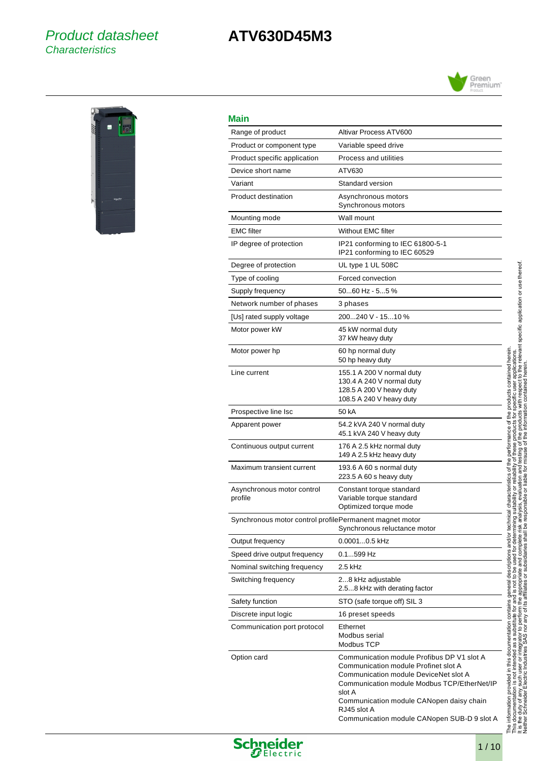## Product datasheet **Characteristics**

# **ATV630D45M3**





## **Main**

l,

 $\overline{a}$ 

| Main                                                    |                                                                                                                                                                                                                                                                                                |
|---------------------------------------------------------|------------------------------------------------------------------------------------------------------------------------------------------------------------------------------------------------------------------------------------------------------------------------------------------------|
| Range of product                                        | Altivar Process ATV600                                                                                                                                                                                                                                                                         |
| Product or component type                               | Variable speed drive                                                                                                                                                                                                                                                                           |
| Product specific application                            | Process and utilities                                                                                                                                                                                                                                                                          |
| Device short name                                       | ATV630                                                                                                                                                                                                                                                                                         |
| Variant                                                 | Standard version                                                                                                                                                                                                                                                                               |
| Product destination                                     | Asynchronous motors<br>Synchronous motors                                                                                                                                                                                                                                                      |
| Mounting mode                                           | Wall mount                                                                                                                                                                                                                                                                                     |
| <b>EMC</b> filter                                       | <b>Without EMC filter</b>                                                                                                                                                                                                                                                                      |
| IP degree of protection                                 | IP21 conforming to IEC 61800-5-1<br>IP21 conforming to IEC 60529                                                                                                                                                                                                                               |
| Degree of protection                                    | UL type 1 UL 508C                                                                                                                                                                                                                                                                              |
| Type of cooling                                         | Forced convection                                                                                                                                                                                                                                                                              |
| Supply frequency                                        | 5060 Hz - 55 %                                                                                                                                                                                                                                                                                 |
| Network number of phases                                | 3 phases                                                                                                                                                                                                                                                                                       |
| [Us] rated supply voltage                               | 200240 V - 1510 %                                                                                                                                                                                                                                                                              |
| Motor power kW                                          | 45 kW normal duty<br>37 kW heavy duty                                                                                                                                                                                                                                                          |
| Motor power hp                                          | 60 hp normal duty<br>50 hp heavy duty                                                                                                                                                                                                                                                          |
| Line current                                            | 155.1 A 200 V normal duty<br>130.4 A 240 V normal duty<br>128.5 A 200 V heavy duty<br>108.5 A 240 V heavy duty                                                                                                                                                                                 |
| Prospective line Isc                                    | 50 kA                                                                                                                                                                                                                                                                                          |
| Apparent power                                          | 54.2 kVA 240 V normal duty<br>45.1 kVA 240 V heavy duty                                                                                                                                                                                                                                        |
| Continuous output current                               | 176 A 2.5 kHz normal duty<br>149 A 2.5 kHz heavy duty                                                                                                                                                                                                                                          |
| Maximum transient current                               | 193.6 A 60 s normal duty<br>223.5 A 60 s heavy duty                                                                                                                                                                                                                                            |
| Asynchronous motor control<br>profile                   | Constant torque standard<br>Variable torque standard<br>Optimized torque mode                                                                                                                                                                                                                  |
| Synchronous motor control profilePermanent magnet motor | Synchronous reluctance motor                                                                                                                                                                                                                                                                   |
| Output frequency                                        | 0.00010.5 kHz                                                                                                                                                                                                                                                                                  |
| Speed drive output frequency                            | 0.1599 Hz                                                                                                                                                                                                                                                                                      |
| Nominal switching frequency                             | 2.5 kHz                                                                                                                                                                                                                                                                                        |
| Switching frequency                                     | 28 kHz adjustable<br>2.58 kHz with derating factor                                                                                                                                                                                                                                             |
| Safety function                                         | STO (safe torque off) SIL 3                                                                                                                                                                                                                                                                    |
| Discrete input logic                                    | 16 preset speeds                                                                                                                                                                                                                                                                               |
| Communication port protocol                             | Ethernet<br>Modbus serial<br>Modbus TCP                                                                                                                                                                                                                                                        |
| Option card                                             | Communication module Profibus DP V1 slot A<br>Communication module Profinet slot A<br>Communication module DeviceNet slot A<br>Communication module Modbus TCP/EtherNet/IP<br>slot A<br>Communication module CANopen daisy chain<br>RJ45 slot A<br>Communication module CANopen SUB-D 9 slot A |

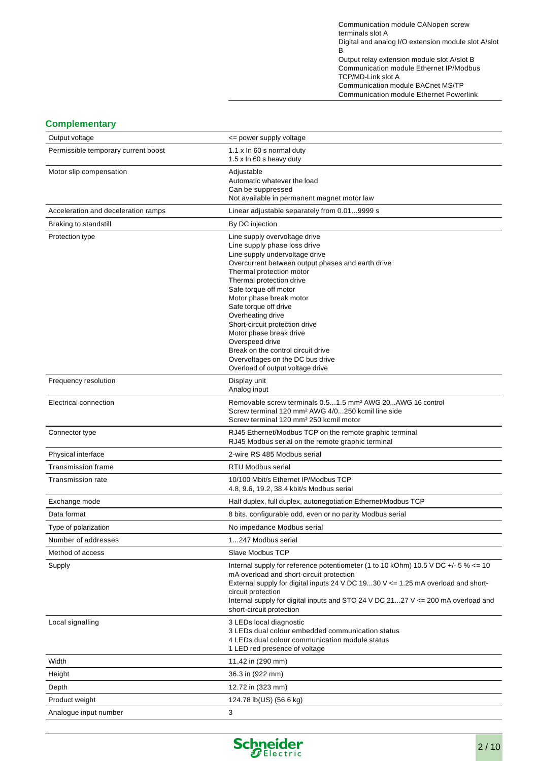Communication module CANopen screw terminals slot A Digital and analog I/O extension module slot A/slot B Output relay extension module slot A/slot B Communication module Ethernet IP/Modbus TCP/MD-Link slot A Communication module BACnet MS/TP Communication module Ethernet Powerlink

## **Complementary**

| Complementary                       |                                                                                                                                                                                                                                                                                                                                                                                                                                                                                                              |
|-------------------------------------|--------------------------------------------------------------------------------------------------------------------------------------------------------------------------------------------------------------------------------------------------------------------------------------------------------------------------------------------------------------------------------------------------------------------------------------------------------------------------------------------------------------|
| Output voltage                      | <= power supply voltage                                                                                                                                                                                                                                                                                                                                                                                                                                                                                      |
| Permissible temporary current boost | 1.1 x In 60 s normal duty<br>1.5 x In 60 s heavy duty                                                                                                                                                                                                                                                                                                                                                                                                                                                        |
| Motor slip compensation             | Adjustable<br>Automatic whatever the load<br>Can be suppressed<br>Not available in permanent magnet motor law                                                                                                                                                                                                                                                                                                                                                                                                |
| Acceleration and deceleration ramps | Linear adjustable separately from 0.019999 s                                                                                                                                                                                                                                                                                                                                                                                                                                                                 |
| Braking to standstill               | By DC injection                                                                                                                                                                                                                                                                                                                                                                                                                                                                                              |
| Protection type                     | Line supply overvoltage drive<br>Line supply phase loss drive<br>Line supply undervoltage drive<br>Overcurrent between output phases and earth drive<br>Thermal protection motor<br>Thermal protection drive<br>Safe torque off motor<br>Motor phase break motor<br>Safe torque off drive<br>Overheating drive<br>Short-circuit protection drive<br>Motor phase break drive<br>Overspeed drive<br>Break on the control circuit drive<br>Overvoltages on the DC bus drive<br>Overload of output voltage drive |
| Frequency resolution                | Display unit<br>Analog input                                                                                                                                                                                                                                                                                                                                                                                                                                                                                 |
| Electrical connection               | Removable screw terminals 0.51.5 mm <sup>2</sup> AWG 20AWG 16 control<br>Screw terminal 120 mm <sup>2</sup> AWG 4/0250 kcmil line side<br>Screw terminal 120 mm <sup>2</sup> 250 kcmil motor                                                                                                                                                                                                                                                                                                                 |
| Connector type                      | RJ45 Ethernet/Modbus TCP on the remote graphic terminal<br>RJ45 Modbus serial on the remote graphic terminal                                                                                                                                                                                                                                                                                                                                                                                                 |
| Physical interface                  | 2-wire RS 485 Modbus serial                                                                                                                                                                                                                                                                                                                                                                                                                                                                                  |
| Transmission frame                  | <b>RTU Modbus serial</b>                                                                                                                                                                                                                                                                                                                                                                                                                                                                                     |
| <b>Transmission rate</b>            | 10/100 Mbit/s Ethernet IP/Modbus TCP<br>4.8, 9.6, 19.2, 38.4 kbit/s Modbus serial                                                                                                                                                                                                                                                                                                                                                                                                                            |
| Exchange mode                       | Half duplex, full duplex, autonegotiation Ethernet/Modbus TCP                                                                                                                                                                                                                                                                                                                                                                                                                                                |
| Data format                         | 8 bits, configurable odd, even or no parity Modbus serial                                                                                                                                                                                                                                                                                                                                                                                                                                                    |
| Type of polarization                | No impedance Modbus serial                                                                                                                                                                                                                                                                                                                                                                                                                                                                                   |
| Number of addresses                 | 1247 Modbus serial                                                                                                                                                                                                                                                                                                                                                                                                                                                                                           |
| Method of access                    | Slave Modbus TCP                                                                                                                                                                                                                                                                                                                                                                                                                                                                                             |
| Supply                              | Internal supply for reference potentiometer (1 to 10 kOhm) 10.5 V DC $+/-5$ % $\lt=10$<br>mA overload and short-circuit protection<br>External supply for digital inputs 24 V DC 1930 V <= 1.25 mA overload and short-<br>circuit protection<br>Internal supply for digital inputs and STO 24 V DC 2127 $V \le 200$ mA overload and<br>short-circuit protection                                                                                                                                              |
| Local signalling                    | 3 LEDs local diagnostic<br>3 LEDs dual colour embedded communication status<br>4 LEDs dual colour communication module status<br>1 LED red presence of voltage                                                                                                                                                                                                                                                                                                                                               |
| Width                               | 11.42 in (290 mm)                                                                                                                                                                                                                                                                                                                                                                                                                                                                                            |
| Height                              | 36.3 in (922 mm)                                                                                                                                                                                                                                                                                                                                                                                                                                                                                             |
| Depth                               | 12.72 in (323 mm)                                                                                                                                                                                                                                                                                                                                                                                                                                                                                            |
| Product weight                      | 124.78 lb(US) (56.6 kg)                                                                                                                                                                                                                                                                                                                                                                                                                                                                                      |
| Analogue input number               | 3                                                                                                                                                                                                                                                                                                                                                                                                                                                                                                            |

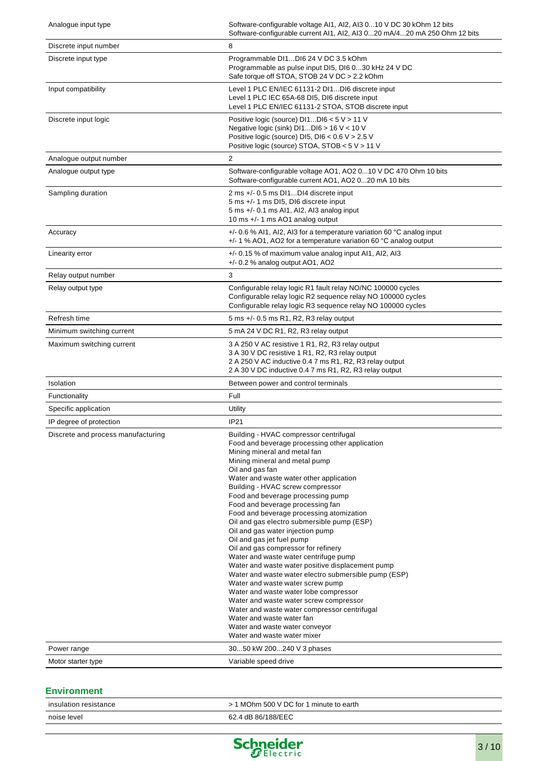| Analogue input type                               | Software-configurable voltage AI1, AI2, AI3 010 V DC 30 kOhm 12 bits<br>Software-configurable current Al1, Al2, Al3 020 mA/420 mA 250 Ohm 12 bits                                                                                                                                                                                                                                                                                                                                                                                                                                                                                                                                                                                                                                                                                                                                                                                                                                             |
|---------------------------------------------------|-----------------------------------------------------------------------------------------------------------------------------------------------------------------------------------------------------------------------------------------------------------------------------------------------------------------------------------------------------------------------------------------------------------------------------------------------------------------------------------------------------------------------------------------------------------------------------------------------------------------------------------------------------------------------------------------------------------------------------------------------------------------------------------------------------------------------------------------------------------------------------------------------------------------------------------------------------------------------------------------------|
| Discrete input number                             | 8                                                                                                                                                                                                                                                                                                                                                                                                                                                                                                                                                                                                                                                                                                                                                                                                                                                                                                                                                                                             |
| Discrete input type                               | Programmable DI1DI6 24 V DC 3.5 kOhm<br>Programmable as pulse input DI5, DI6 030 kHz 24 V DC<br>Safe torque off STOA, STOB 24 V DC > 2.2 kOhm                                                                                                                                                                                                                                                                                                                                                                                                                                                                                                                                                                                                                                                                                                                                                                                                                                                 |
| Input compatibility                               | Level 1 PLC EN/IEC 61131-2 DI1DI6 discrete input<br>Level 1 PLC IEC 65A-68 DI5, DI6 discrete input<br>Level 1 PLC EN/IEC 61131-2 STOA, STOB discrete input                                                                                                                                                                                                                                                                                                                                                                                                                                                                                                                                                                                                                                                                                                                                                                                                                                    |
| Discrete input logic                              | Positive logic (source) DI1DI6 < 5 V > 11 V<br>Negative logic (sink) $D11D16 > 16$ V < 10 V<br>Positive logic (source) DI5, DI6 < 0.6 V > 2.5 V<br>Positive logic (source) STOA, STOB < 5 V > 11 V                                                                                                                                                                                                                                                                                                                                                                                                                                                                                                                                                                                                                                                                                                                                                                                            |
| Analogue output number                            | 2                                                                                                                                                                                                                                                                                                                                                                                                                                                                                                                                                                                                                                                                                                                                                                                                                                                                                                                                                                                             |
| Analogue output type                              | Software-configurable voltage AO1, AO2 010 V DC 470 Ohm 10 bits<br>Software-configurable current AO1, AO2 020 mA 10 bits                                                                                                                                                                                                                                                                                                                                                                                                                                                                                                                                                                                                                                                                                                                                                                                                                                                                      |
| Sampling duration                                 | 2 ms +/- 0.5 ms DI1DI4 discrete input<br>5 ms +/- 1 ms DI5, DI6 discrete input<br>5 ms +/- 0.1 ms AI1, AI2, AI3 analog input<br>10 ms +/- 1 ms AO1 analog output                                                                                                                                                                                                                                                                                                                                                                                                                                                                                                                                                                                                                                                                                                                                                                                                                              |
| Accuracy                                          | +/- 0.6 % Al1, Al2, Al3 for a temperature variation 60 °C analog input<br>+/- 1 % AO1, AO2 for a temperature variation 60 °C analog output                                                                                                                                                                                                                                                                                                                                                                                                                                                                                                                                                                                                                                                                                                                                                                                                                                                    |
| Linearity error                                   | +/- 0.15 % of maximum value analog input AI1, AI2, AI3<br>$+/- 0.2$ % analog output AO1, AO2                                                                                                                                                                                                                                                                                                                                                                                                                                                                                                                                                                                                                                                                                                                                                                                                                                                                                                  |
| Relay output number                               | 3                                                                                                                                                                                                                                                                                                                                                                                                                                                                                                                                                                                                                                                                                                                                                                                                                                                                                                                                                                                             |
| Relay output type                                 | Configurable relay logic R1 fault relay NO/NC 100000 cycles<br>Configurable relay logic R2 sequence relay NO 100000 cycles<br>Configurable relay logic R3 sequence relay NO 100000 cycles                                                                                                                                                                                                                                                                                                                                                                                                                                                                                                                                                                                                                                                                                                                                                                                                     |
| Refresh time                                      | 5 ms +/- 0.5 ms R1, R2, R3 relay output                                                                                                                                                                                                                                                                                                                                                                                                                                                                                                                                                                                                                                                                                                                                                                                                                                                                                                                                                       |
| Minimum switching current                         | 5 mA 24 V DC R1, R2, R3 relay output                                                                                                                                                                                                                                                                                                                                                                                                                                                                                                                                                                                                                                                                                                                                                                                                                                                                                                                                                          |
| Maximum switching current                         | 3 A 250 V AC resistive 1 R1, R2, R3 relay output<br>3 A 30 V DC resistive 1 R1, R2, R3 relay output<br>2 A 250 V AC inductive 0.4 7 ms R1, R2, R3 relay output<br>2 A 30 V DC inductive 0.4 7 ms R1, R2, R3 relay output                                                                                                                                                                                                                                                                                                                                                                                                                                                                                                                                                                                                                                                                                                                                                                      |
| Isolation                                         | Between power and control terminals                                                                                                                                                                                                                                                                                                                                                                                                                                                                                                                                                                                                                                                                                                                                                                                                                                                                                                                                                           |
| Functionality                                     | Full                                                                                                                                                                                                                                                                                                                                                                                                                                                                                                                                                                                                                                                                                                                                                                                                                                                                                                                                                                                          |
| Specific application                              | Utility                                                                                                                                                                                                                                                                                                                                                                                                                                                                                                                                                                                                                                                                                                                                                                                                                                                                                                                                                                                       |
| IP degree of protection                           | IP21                                                                                                                                                                                                                                                                                                                                                                                                                                                                                                                                                                                                                                                                                                                                                                                                                                                                                                                                                                                          |
| Discrete and process manufacturing<br>Power range | Building - HVAC compressor centrifugal<br>Food and beverage processing other application<br>Mining mineral and metal fan<br>Mining mineral and metal pump<br>Oil and gas fan<br>Water and waste water other application<br>Building - HVAC screw compressor<br>Food and beverage processing pump<br>Food and beverage processing fan<br>Food and beverage processing atomization<br>Oil and gas electro submersible pump (ESP)<br>Oil and gas water injection pump<br>Oil and gas jet fuel pump<br>Oil and gas compressor for refinery<br>Water and waste water centrifuge pump<br>Water and waste water positive displacement pump<br>Water and waste water electro submersible pump (ESP)<br>Water and waste water screw pump<br>Water and waste water lobe compressor<br>Water and waste water screw compressor<br>Water and waste water compressor centrifugal<br>Water and waste water fan<br>Water and waste water conveyor<br>Water and waste water mixer<br>3050 kW 200240 V 3 phases |
|                                                   |                                                                                                                                                                                                                                                                                                                                                                                                                                                                                                                                                                                                                                                                                                                                                                                                                                                                                                                                                                                               |
| Motor starter type                                | Variable speed drive                                                                                                                                                                                                                                                                                                                                                                                                                                                                                                                                                                                                                                                                                                                                                                                                                                                                                                                                                                          |

## **Environment**

| insulation resistance | MOhm 500 V DC for 1 minute to earth |
|-----------------------|-------------------------------------|
| noise level           | 62.4 dB 86/188/EEC                  |
|                       |                                     |

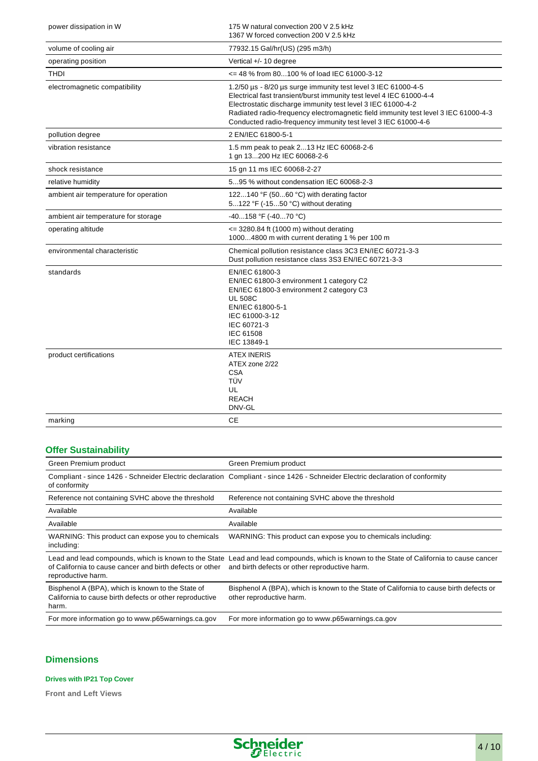| power dissipation in W                | 175 W natural convection 200 V 2.5 kHz<br>1367 W forced convection 200 V 2.5 kHz                                                                                                                                                                                                                                                                           |
|---------------------------------------|------------------------------------------------------------------------------------------------------------------------------------------------------------------------------------------------------------------------------------------------------------------------------------------------------------------------------------------------------------|
| volume of cooling air                 | 77932.15 Gal/hr(US) (295 m3/h)                                                                                                                                                                                                                                                                                                                             |
| operating position                    | Vertical $+/- 10$ degree                                                                                                                                                                                                                                                                                                                                   |
| <b>THDI</b>                           | <= 48 % from 80100 % of load IEC 61000-3-12                                                                                                                                                                                                                                                                                                                |
| electromagnetic compatibility         | 1.2/50 us - 8/20 us surge immunity test level 3 IEC 61000-4-5<br>Electrical fast transient/burst immunity test level 4 IEC 61000-4-4<br>Electrostatic discharge immunity test level 3 IEC 61000-4-2<br>Radiated radio-frequency electromagnetic field immunity test level 3 IEC 61000-4-3<br>Conducted radio-frequency immunity test level 3 IEC 61000-4-6 |
| pollution degree                      | 2 EN/IEC 61800-5-1                                                                                                                                                                                                                                                                                                                                         |
| vibration resistance                  | 1.5 mm peak to peak 213 Hz IEC 60068-2-6<br>1 gn 13200 Hz IEC 60068-2-6                                                                                                                                                                                                                                                                                    |
| shock resistance                      | 15 gn 11 ms IEC 60068-2-27                                                                                                                                                                                                                                                                                                                                 |
| relative humidity                     | 595 % without condensation IEC 60068-2-3                                                                                                                                                                                                                                                                                                                   |
| ambient air temperature for operation | 122140 °F (5060 °C) with derating factor<br>5122 °F (-1550 °C) without derating                                                                                                                                                                                                                                                                            |
| ambient air temperature for storage   | -40158 °F (-4070 °C)                                                                                                                                                                                                                                                                                                                                       |
| operating altitude                    | <= 3280.84 ft (1000 m) without derating<br>10004800 m with current derating 1 % per 100 m                                                                                                                                                                                                                                                                  |
| environmental characteristic          | Chemical pollution resistance class 3C3 EN/IEC 60721-3-3<br>Dust pollution resistance class 3S3 EN/IEC 60721-3-3                                                                                                                                                                                                                                           |
| standards                             | EN/IEC 61800-3<br>EN/IEC 61800-3 environment 1 category C2<br>EN/IEC 61800-3 environment 2 category C3<br><b>UL 508C</b><br>EN/IEC 61800-5-1<br>IEC 61000-3-12<br>IEC 60721-3<br>IEC 61508<br>IEC 13849-1                                                                                                                                                  |
| product certifications                | <b>ATEX INERIS</b><br>ATEX zone 2/22<br><b>CSA</b><br>TÜV<br>UL<br><b>REACH</b><br>DNV-GL                                                                                                                                                                                                                                                                  |
| marking                               | CЕ                                                                                                                                                                                                                                                                                                                                                         |

## **Offer Sustainability**

| Green Premium product                                                                                                 | Green Premium product                                                                                                                                                                    |
|-----------------------------------------------------------------------------------------------------------------------|------------------------------------------------------------------------------------------------------------------------------------------------------------------------------------------|
| of conformity                                                                                                         | Compliant - since 1426 - Schneider Electric declaration Compliant - since 1426 - Schneider Electric declaration of conformity                                                            |
| Reference not containing SVHC above the threshold                                                                     | Reference not containing SVHC above the threshold                                                                                                                                        |
| Available                                                                                                             | Available                                                                                                                                                                                |
| Available                                                                                                             | Available                                                                                                                                                                                |
| WARNING: This product can expose you to chemicals<br>including:                                                       | WARNING: This product can expose you to chemicals including:                                                                                                                             |
| of California to cause cancer and birth defects or other<br>reproductive harm.                                        | Lead and lead compounds, which is known to the State Lead and lead compounds, which is known to the State of California to cause cancer<br>and birth defects or other reproductive harm. |
| Bisphenol A (BPA), which is known to the State of<br>California to cause birth defects or other reproductive<br>harm. | Bisphenol A (BPA), which is known to the State of California to cause birth defects or<br>other reproductive harm.                                                                       |
| For more information go to www.p65warnings.ca.gov                                                                     | For more information go to www.p65warnings.ca.gov                                                                                                                                        |

## **Dimensions**

#### **Drives with IP21 Top Cover**

**Front and Left Views**

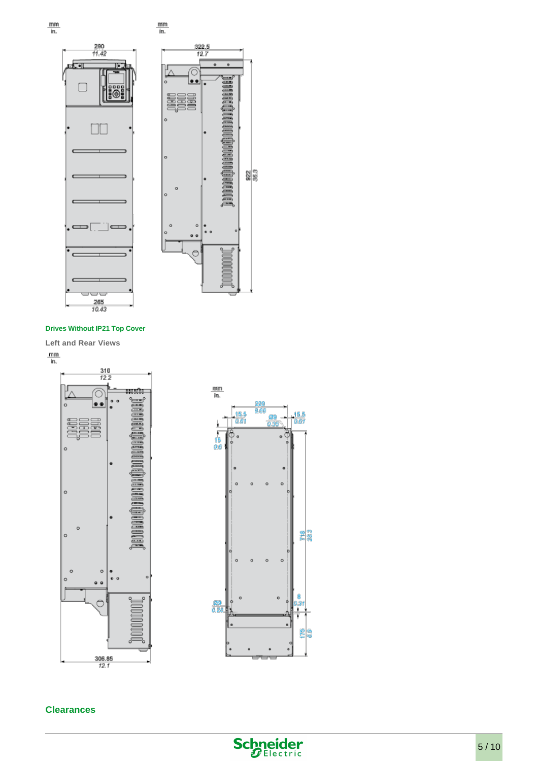







#### **Drives Without IP21 Top Cover**

**Left and Rear Views**

 $\frac{mm}{in.}$ 





#### **Clearances**

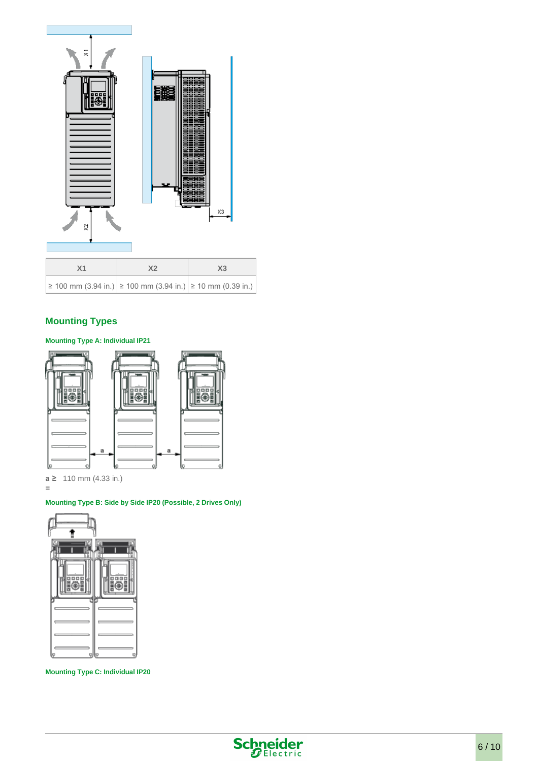

## **Mounting Types**

#### **Mounting Type A: Individual IP21**



**a ≥**  110 mm (4.33 in.)

**=**

#### **Mounting Type B: Side by Side IP20 (Possible, 2 Drives Only)**



**Mounting Type C: Individual IP20**

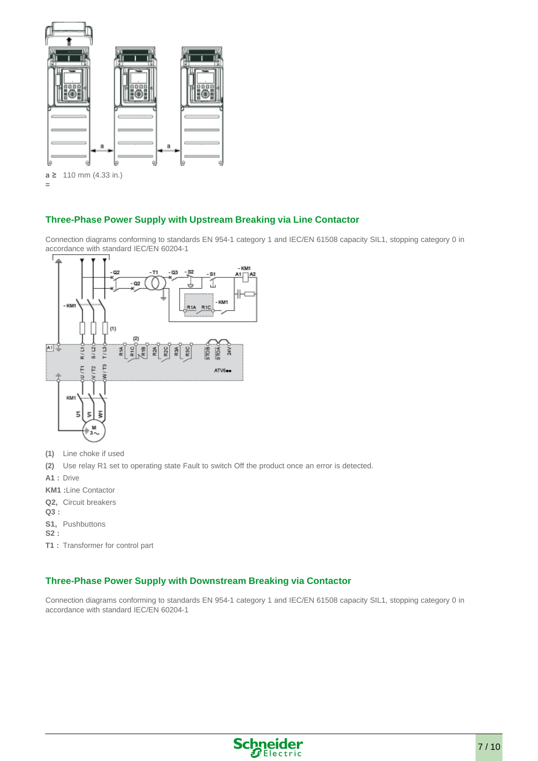

## **Three-Phase Power Supply with Upstream Breaking via Line Contactor**

Connection diagrams conforming to standards EN 954-1 category 1 and IEC/EN 61508 capacity SIL1, stopping category 0 in accordance with standard IEC/EN 60204-1



- **(1)** Line choke if used
- **(2)** Use relay R1 set to operating state Fault to switch Off the product once an error is detected.
- **A1 :** Drive
- **KM1 :**Line Contactor
- **Q2,**  Circuit breakers
- **Q3 :**
- **S1,**  Pushbuttons
- **S2 :**
- **T1 :** Transformer for control part

### **Three-Phase Power Supply with Downstream Breaking via Contactor**

Connection diagrams conforming to standards EN 954-1 category 1 and IEC/EN 61508 capacity SIL1, stopping category 0 in accordance with standard IEC/EN 60204-1

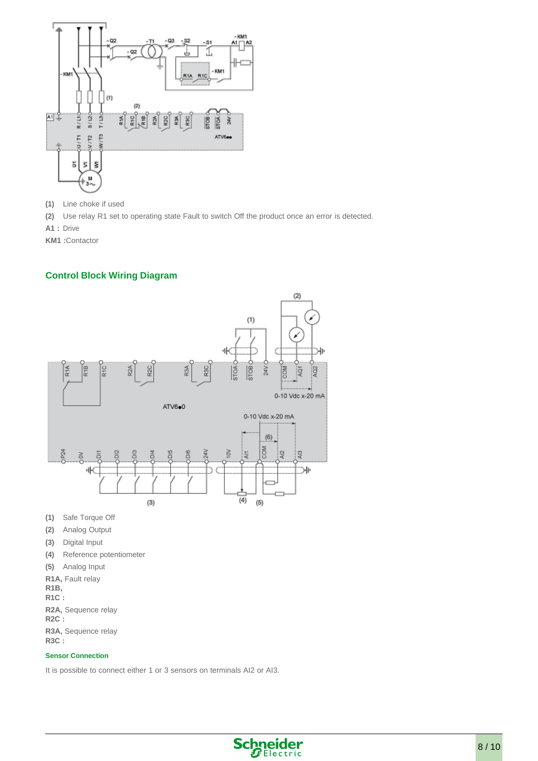

- **(1)** Line choke if used
- **(2)** Use relay R1 set to operating state Fault to switch Off the product once an error is detected.
- **A1 :** Drive

**KM1 :**Contactor

## **Control Block Wiring Diagram**



- **(1)** Safe Torque Off
- **(2)** Analog Output
- **(3)** Digital Input
- **(4)** Reference potentiometer
- **(5)** Analog Input
- **R1A,**  Fault relay
- **R1B,**
- **R1C :**
- **R2A,**  Sequence relay
- **R2C :**
- **R3A,**  Sequence relay

**R3C :**

#### **Sensor Connection**

It is possible to connect either 1 or 3 sensors on terminals AI2 or AI3.

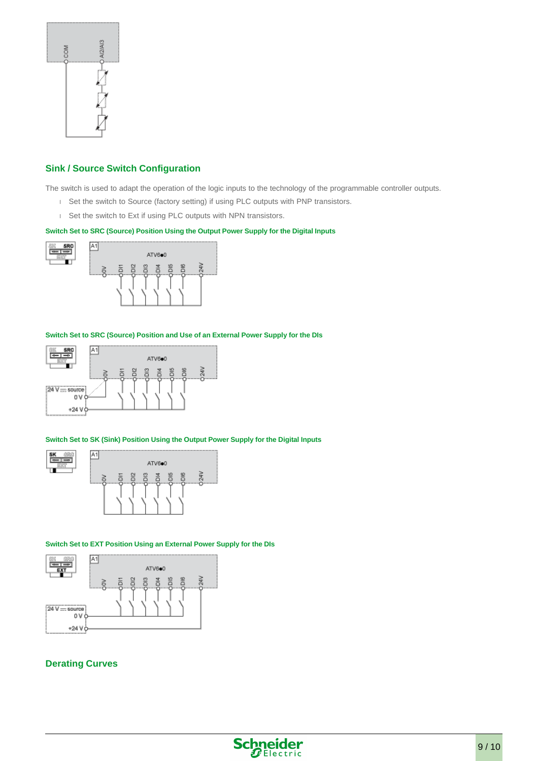

## **Sink / Source Switch Configuration**

The switch is used to adapt the operation of the logic inputs to the technology of the programmable controller outputs.

- Set the switch to Source (factory setting) if using PLC outputs with PNP transistors.
- Set the switch to Ext if using PLC outputs with NPN transistors.

#### **Switch Set to SRC (Source) Position Using the Output Power Supply for the Digital Inputs**



#### **Switch Set to SRC (Source) Position and Use of an External Power Supply for the DIs**



#### **Switch Set to SK (Sink) Position Using the Output Power Supply for the Digital Inputs**



#### **Switch Set to EXT Position Using an External Power Supply for the DIs**



#### **Derating Curves**

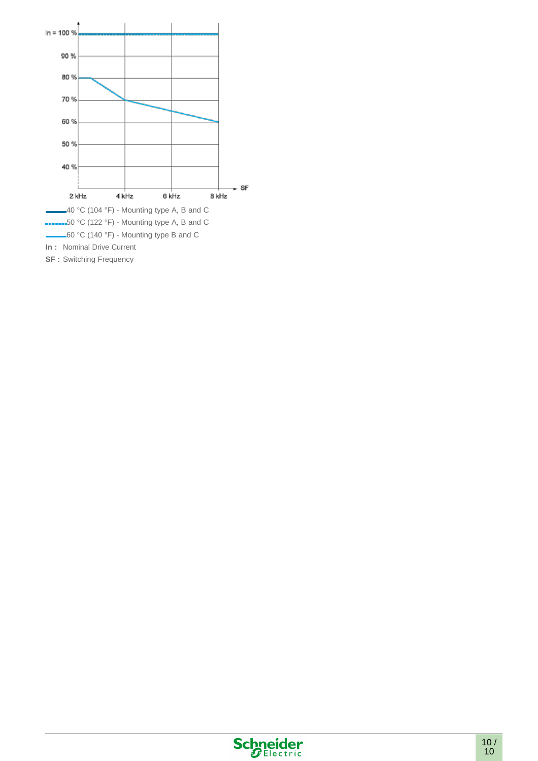